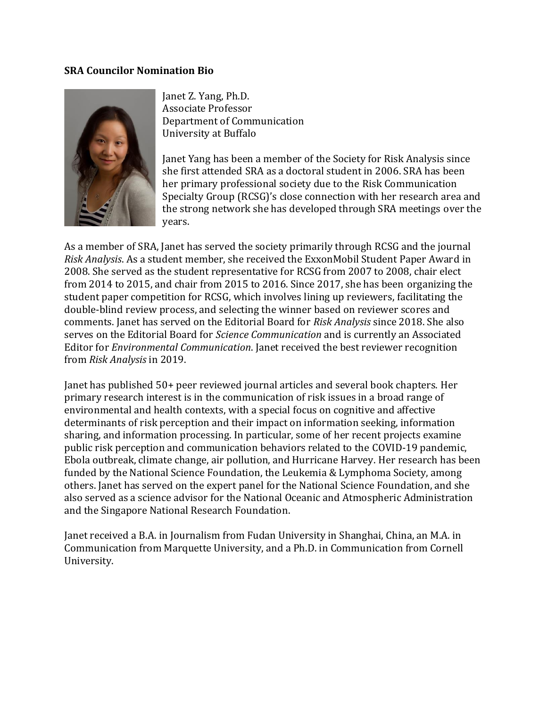## **SRA Councilor Nomination Bio**



Janet Z. Yang, Ph.D. Associate Professor Department of Communication University at Buffalo

Janet Yang has been a member of the Society for Risk Analysis since she first attended SRA as a doctoral student in 2006. SRA has been her primary professional society due to the Risk Communication Specialty Group (RCSG)'s close connection with her research area and the strong network she has developed through SRA meetings over the years.

As a member of SRA, Janet has served the society primarily through RCSG and the journal *Risk Analysis*. As a student member, she received the ExxonMobil Student Paper Award in 2008. She served as the student representative for RCSG from 2007 to 2008, chair elect from 2014 to 2015, and chair from 2015 to 2016. Since 2017, she has been organizing the student paper competition for RCSG, which involves lining up reviewers, facilitating the double-blind review process, and selecting the winner based on reviewer scores and comments. Janet has served on the Editorial Board for *Risk Analysis* since 2018. She also serves on the Editorial Board for *Science Communication* and is currently an Associated Editor for *Environmental Communication*. Janet received the best reviewer recognition from *Risk Analysis* in 2019.

Janet has published 50+ peer reviewed journal articles and several book chapters. Her primary research interest is in the communication of risk issues in a broad range of environmental and health contexts, with a special focus on cognitive and affective determinants of risk perception and their impact on information seeking, information sharing, and information processing. In particular, some of her recent projects examine public risk perception and communication behaviors related to the COVID-19 pandemic, Ebola outbreak, climate change, air pollution, and Hurricane Harvey. Her research has been funded by the National Science Foundation, the Leukemia & Lymphoma Society, among others. Janet has served on the expert panel for the National Science Foundation, and she also served as a science advisor for the National Oceanic and Atmospheric Administration and the Singapore National Research Foundation.

Janet received a B.A. in Journalism from Fudan University in Shanghai, China, an M.A. in Communication from Marquette University, and a Ph.D. in Communication from Cornell University.